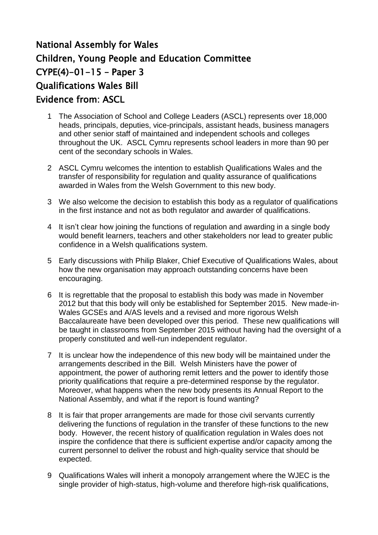## National Assembly for Wales Children, Young People and Education Committee  $CYPE(4)-01-15 - Paper 3$ Qualifications Wales Bill Evidence from: ASCL

- 1 The Association of School and College Leaders (ASCL) represents over 18,000 heads, principals, deputies, vice-principals, assistant heads, business managers and other senior staff of maintained and independent schools and colleges throughout the UK. ASCL Cymru represents school leaders in more than 90 per cent of the secondary schools in Wales.
- 2 ASCL Cymru welcomes the intention to establish Qualifications Wales and the transfer of responsibility for regulation and quality assurance of qualifications awarded in Wales from the Welsh Government to this new body.
- 3 We also welcome the decision to establish this body as a regulator of qualifications in the first instance and not as both regulator and awarder of qualifications.
- 4 It isn"t clear how joining the functions of regulation and awarding in a single body would benefit learners, teachers and other stakeholders nor lead to greater public confidence in a Welsh qualifications system.
- 5 Early discussions with Philip Blaker, Chief Executive of Qualifications Wales, about how the new organisation may approach outstanding concerns have been encouraging.
- 6 It is regrettable that the proposal to establish this body was made in November 2012 but that this body will only be established for September 2015. New made-in-Wales GCSEs and A/AS levels and a revised and more rigorous Welsh Baccalaureate have been developed over this period. These new qualifications will be taught in classrooms from September 2015 without having had the oversight of a properly constituted and well-run independent regulator.
- 7 It is unclear how the independence of this new body will be maintained under the arrangements described in the Bill. Welsh Ministers have the power of appointment, the power of authoring remit letters and the power to identify those priority qualifications that require a pre-determined response by the regulator. Moreover, what happens when the new body presents its Annual Report to the National Assembly, and what if the report is found wanting?
- 8 It is fair that proper arrangements are made for those civil servants currently delivering the functions of regulation in the transfer of these functions to the new body. However, the recent history of qualification regulation in Wales does not inspire the confidence that there is sufficient expertise and/or capacity among the current personnel to deliver the robust and high-quality service that should be expected.
- 9 Qualifications Wales will inherit a monopoly arrangement where the WJEC is the single provider of high-status, high-volume and therefore high-risk qualifications,